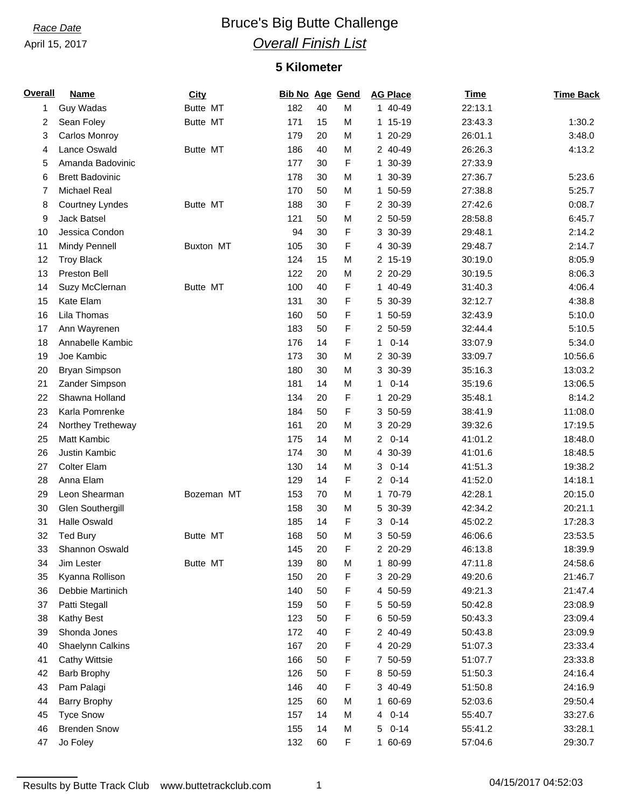## **Race Date Bruce's Big Butte Challenge** *Overall Finish List*

### **5 Kilometer**

| <b>Overall</b> | <b>Name</b>             | <b>City</b> | <b>Bib No Age Gend</b> |    |   | <b>AG Place</b> | <b>Time</b> | <b>Time Back</b> |
|----------------|-------------------------|-------------|------------------------|----|---|-----------------|-------------|------------------|
| 1              | Guy Wadas               | Butte MT    | 182                    | 40 | M | 1 40-49         | 22:13.1     |                  |
| 2              | Sean Foley              | Butte MT    | 171                    | 15 | M | 1 15-19         | 23:43.3     | 1:30.2           |
| 3              | Carlos Monroy           |             | 179                    | 20 | M | 1 20-29         | 26:01.1     | 3:48.0           |
| 4              | Lance Oswald            | Butte MT    | 186                    | 40 | M | 2 40-49         | 26:26.3     | 4:13.2           |
| 5              | Amanda Badovinic        |             | 177                    | 30 | F | 1 30-39         | 27:33.9     |                  |
| 6              | <b>Brett Badovinic</b>  |             | 178                    | 30 | M | 1 30-39         | 27:36.7     | 5:23.6           |
| 7              | <b>Michael Real</b>     |             | 170                    | 50 | M | 1 50-59         | 27:38.8     | 5:25.7           |
| 8              | Courtney Lyndes         | Butte MT    | 188                    | 30 | F | 2 30-39         | 27:42.6     | 0:08.7           |
| 9              | <b>Jack Batsel</b>      |             | 121                    | 50 | M | 2 50-59         | 28:58.8     | 6:45.7           |
| 10             | Jessica Condon          |             | 94                     | 30 | F | 3 30-39         | 29:48.1     | 2:14.2           |
| 11             | Mindy Pennell           | Buxton MT   | 105                    | 30 | F | 4 30-39         | 29:48.7     | 2:14.7           |
| 12             | <b>Troy Black</b>       |             | 124                    | 15 | M | 2 15-19         | 30:19.0     | 8:05.9           |
| 13             | Preston Bell            |             | 122                    | 20 | M | 2 20-29         | 30:19.5     | 8:06.3           |
| 14             | Suzy McClernan          | Butte MT    | 100                    | 40 | F | 1 40-49         | 31:40.3     | 4:06.4           |
| 15             | Kate Elam               |             | 131                    | 30 | F | 5 30-39         | 32:12.7     | 4:38.8           |
| 16             | Lila Thomas             |             | 160                    | 50 | F | 1 50-59         | 32:43.9     | 5:10.0           |
| 17             | Ann Wayrenen            |             | 183                    | 50 | F | 2 50-59         | 32:44.4     | 5:10.5           |
| 18             | Annabelle Kambic        |             | 176                    | 14 | F | $10 - 14$       | 33:07.9     | 5:34.0           |
| 19             | Joe Kambic              |             | 173                    | 30 | M | 2 30-39         | 33:09.7     | 10:56.6          |
| 20             | Bryan Simpson           |             | 180                    | 30 | M | 3 30-39         | 35:16.3     | 13:03.2          |
| 21             | Zander Simpson          |             | 181                    | 14 | M | $10 - 14$       | 35:19.6     | 13:06.5          |
| 22             | Shawna Holland          |             | 134                    | 20 | F | 1 20-29         | 35:48.1     | 8:14.2           |
| 23             | Karla Pomrenke          |             | 184                    | 50 | F | 3 50-59         | 38:41.9     | 11:08.0          |
| 24             | Northey Tretheway       |             | 161                    | 20 | M | 3 20-29         | 39:32.6     | 17:19.5          |
| 25             | <b>Matt Kambic</b>      |             | 175                    | 14 | M | $20-14$         | 41:01.2     | 18:48.0          |
| 26             | Justin Kambic           |             | 174                    | 30 | M | 4 30-39         | 41:01.6     | 18:48.5          |
| 27             | <b>Colter Elam</b>      |             | 130                    | 14 | M | $0 - 14$<br>3   | 41:51.3     | 19:38.2          |
| 28             | Anna Elam               |             | 129                    | 14 | F | $20 - 14$       | 41:52.0     | 14:18.1          |
| 29             | Leon Shearman           | Bozeman MT  | 153                    | 70 | M | 1 70-79         | 42:28.1     | 20:15.0          |
| 30             | <b>Glen Southergill</b> |             | 158                    | 30 | M | 5 30-39         | 42:34.2     | 20:21.1          |
| 31             | <b>Halle Oswald</b>     |             | 185                    | 14 | F | $0 - 14$<br>3   | 45:02.2     | 17:28.3          |
| 32             | <b>Ted Bury</b>         | Butte MT    | 168                    | 50 | M | 3 50-59         | 46:06.6     | 23:53.5          |
| 33             | Shannon Oswald          |             | 145                    | 20 | F | 2 20-29         | 46:13.8     | 18:39.9          |
| 34             | Jim Lester              | Butte MT    | 139                    | 80 | M | 1 80-99         | 47:11.8     | 24:58.6          |
| 35             | Kyanna Rollison         |             | 150                    | 20 | F | 3 20-29         | 49:20.6     | 21:46.7          |
| 36             | Debbie Martinich        |             | 140                    | 50 | F | 4 50-59         | 49:21.3     | 21:47.4          |
| 37             | Patti Stegall           |             | 159                    | 50 | F | 5 50-59         | 50:42.8     | 23:08.9          |
| 38             | Kathy Best              |             | 123                    | 50 | F | 6 50-59         | 50:43.3     | 23:09.4          |
| 39             | Shonda Jones            |             | 172                    | 40 | F | 2 40-49         | 50:43.8     | 23:09.9          |
| 40             | Shaelynn Calkins        |             | 167                    | 20 | F | 4 20-29         | 51:07.3     | 23:33.4          |
| 41             | <b>Cathy Wittsie</b>    |             | 166                    | 50 | F | 7 50-59         | 51:07.7     | 23:33.8          |
| 42             | <b>Barb Brophy</b>      |             | 126                    | 50 | F | 8 50-59         | 51:50.3     | 24:16.4          |
| 43             | Pam Palagi              |             | 146                    | 40 | F | 3 40-49         | 51:50.8     | 24:16.9          |
| 44             | <b>Barry Brophy</b>     |             | 125                    | 60 | M | 1 60-69         | 52:03.6     | 29:50.4          |
| 45             | <b>Tyce Snow</b>        |             | 157                    | 14 | M | 4 0-14          | 55:40.7     | 33:27.6          |
| 46             | <b>Brenden Snow</b>     |             | 155                    | 14 | M | 5 0-14          | 55:41.2     | 33:28.1          |
| 47             | Jo Foley                |             | 132                    | 60 | F | 1 60-69         | 57:04.6     | 29:30.7          |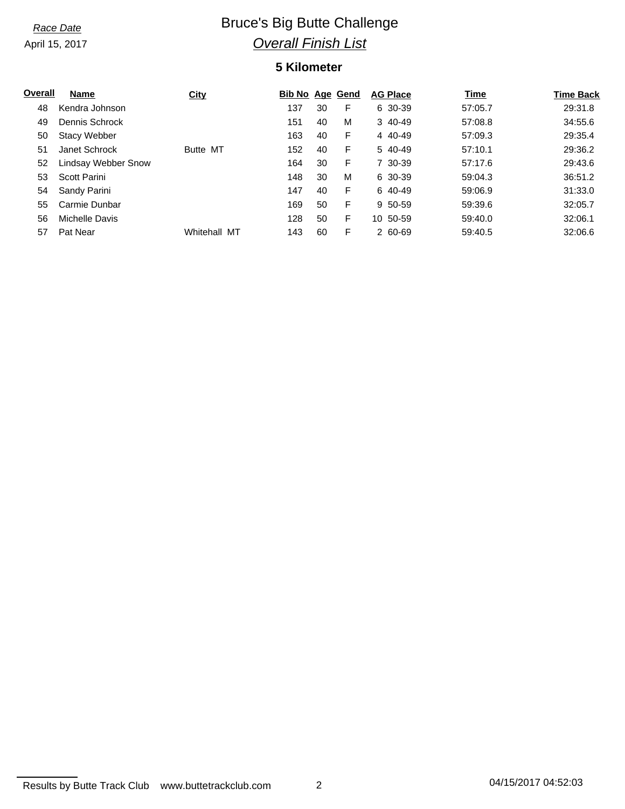# **Race Date Bruce's Big Butte Challenge** *Overall Finish List*

### **5 Kilometer**

| Overall | Name                | City         | <b>Bib No Age Gend</b> |    |   | <b>AG Place</b> | <b>Time</b> | <b>Time Back</b> |
|---------|---------------------|--------------|------------------------|----|---|-----------------|-------------|------------------|
| 48      | Kendra Johnson      |              | 137                    | 30 | F | 6 30-39         | 57:05.7     | 29:31.8          |
| 49      | Dennis Schrock      |              | 151                    | 40 | м | 3 40-49         | 57:08.8     | 34:55.6          |
| 50      | <b>Stacy Webber</b> |              | 163                    | 40 | F | 4 40-49         | 57:09.3     | 29:35.4          |
| 51      | Janet Schrock       | Butte MT     | 152                    | 40 | F | 5 40-49         | 57:10.1     | 29:36.2          |
| 52      | Lindsay Webber Snow |              | 164                    | 30 | F | 7 30-39         | 57:17.6     | 29:43.6          |
| 53      | Scott Parini        |              | 148                    | 30 | M | 6 30-39         | 59:04.3     | 36:51.2          |
| 54      | Sandy Parini        |              | 147                    | 40 | F | 6 40-49         | 59:06.9     | 31:33.0          |
| 55      | Carmie Dunbar       |              | 169                    | 50 | F | 9 50-59         | 59:39.6     | 32:05.7          |
| 56      | Michelle Davis      |              | 128                    | 50 | F | 10 50-59        | 59:40.0     | 32:06.1          |
| 57      | Pat Near            | Whitehall MT | 143                    | 60 | F | 2 60-69         | 59:40.5     | 32:06.6          |

Results by Butte Track Club www.buttetrackclub.com 2 04/15/2017 04:52:03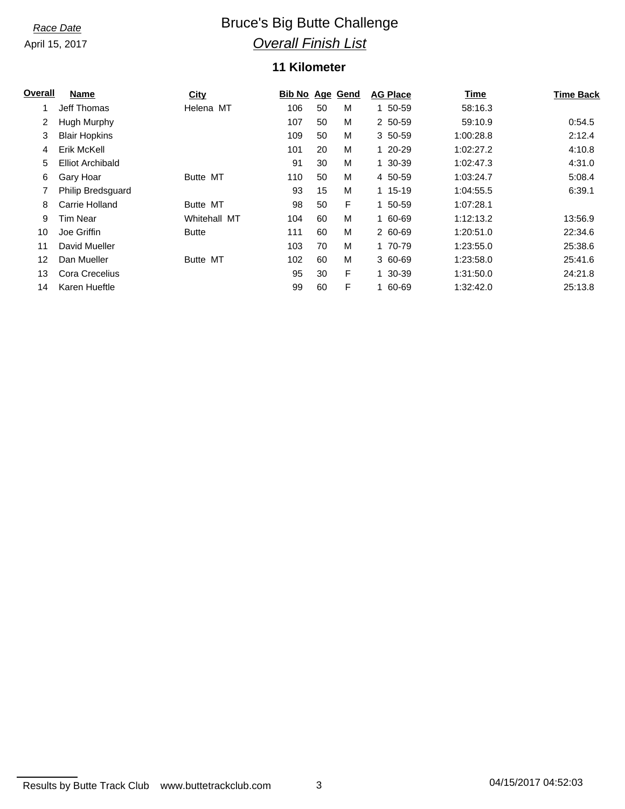# **Race Date Bruce's Big Butte Challenge** *Overall Finish List*

### **11 Kilometer**

| <u>Overall</u> | Name                    | City            | <b>Bib No Age Gend</b> |    |   | <b>AG Place</b> | <b>Time</b> | <b>Time Back</b> |
|----------------|-------------------------|-----------------|------------------------|----|---|-----------------|-------------|------------------|
|                | Jeff Thomas             | Helena MT       | 106                    | 50 | M | 1 50-59         | 58:16.3     |                  |
| 2              | Hugh Murphy             |                 | 107                    | 50 | M | 2 50-59         | 59:10.9     | 0:54.5           |
| 3              | <b>Blair Hopkins</b>    |                 | 109                    | 50 | M | 3 50-59         | 1:00:28.8   | 2:12.4           |
| 4              | Erik McKell             |                 | 101                    | 20 | M | 1 20-29         | 1:02:27.2   | 4:10.8           |
| 5              | <b>Elliot Archibald</b> |                 | 91                     | 30 | M | 1 30-39         | 1:02:47.3   | 4:31.0           |
| 6              | Gary Hoar               | <b>Butte MT</b> | 110                    | 50 | M | 4 50-59         | 1:03:24.7   | 5:08.4           |
| 7              | Philip Bredsguard       |                 | 93                     | 15 | M | 1 15-19         | 1:04:55.5   | 6:39.1           |
| 8              | Carrie Holland          | Butte MT        | 98                     | 50 | F | 1 50-59         | 1:07:28.1   |                  |
| 9              | Tim Near                | Whitehall MT    | 104                    | 60 | M | 1 60-69         | 1:12:13.2   | 13:56.9          |
| 10             | Joe Griffin             | <b>Butte</b>    | 111                    | 60 | M | 2 60-69         | 1:20:51.0   | 22:34.6          |
| 11             | David Mueller           |                 | 103                    | 70 | M | 1 70-79         | 1:23:55.0   | 25:38.6          |
| 12             | Dan Mueller             | Butte MT        | 102                    | 60 | M | 3 60-69         | 1:23:58.0   | 25:41.6          |
| 13             | Cora Crecelius          |                 | 95                     | 30 | F | 1 30-39         | 1:31:50.0   | 24:21.8          |
| 14             | Karen Hueftle           |                 | 99                     | 60 | F | 1 60-69         | 1:32:42.0   | 25:13.8          |